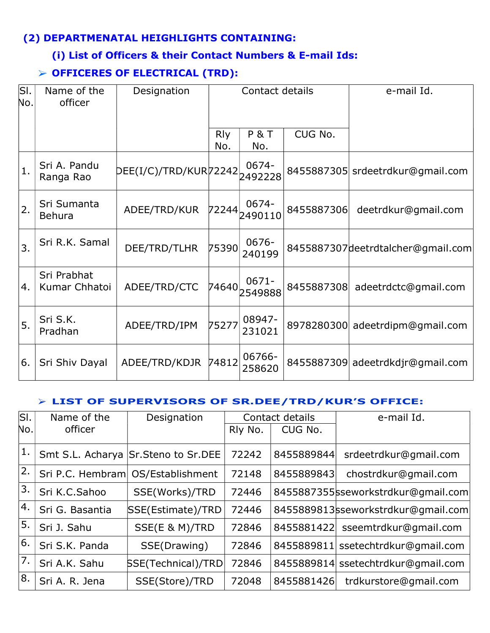## (2) DEPARTMENATAL HEIGHLIGHTS CONTAINING:

### (i) List of Officers & their Contact Numbers & E-mail Ids:

# OFFICERES OF ELECTRICAL (TRD):

| SI.<br>No.       | Name of the<br>officer       | Designation           | Contact details   |                     |            | e-mail Id.                        |
|------------------|------------------------------|-----------------------|-------------------|---------------------|------------|-----------------------------------|
|                  |                              |                       | <b>Rly</b><br>No. | P&T<br>No.          | CUG No.    |                                   |
| 1.               | Sri A. Pandu<br>Ranga Rao    | DEE(I/C)/TRD/KUR72242 |                   | 0674-<br>2492228    |            | 8455887305 srdeetrdkur@gmail.com  |
| 2.               | Sri Sumanta<br><b>Behura</b> | ADEE/TRD/KUR          | 72244             | 0674-<br>2490110    | 8455887306 | deetrdkur@gmail.com               |
| $\overline{3}$ . | Sri R.K. Samal               | DEE/TRD/TLHR          | 75390             | 0676-<br>240199     |            | 8455887307deetrdtalcher@gmail.com |
| 4.               | Sri Prabhat<br>Kumar Chhatoi | ADEE/TRD/CTC          | 74640             | $0671 -$<br>2549888 |            | 8455887308 adeetrdctc@gmail.com   |
| 5.               | Sri S.K.<br>Pradhan          | ADEE/TRD/IPM          | 75277             | 08947-<br>231021    | 8978280300 | adeetrdipm@gmail.com              |
| 6.               | Sri Shiv Dayal               | ADEE/TRD/KDJR         | 74812             | 06766-<br>258620    |            | 8455887309 adeetrdkdjr@gmail.com  |

#### LIST OF SUPERVISORS OF SR.DEE/TRD/KUR'S OFFICE:

| lsı. | Name of the      | Designation                         | Contact details |            | e-mail Id.                         |
|------|------------------|-------------------------------------|-----------------|------------|------------------------------------|
| No.  | officer          |                                     | Rly No.         | CUG No.    |                                    |
| 1.   |                  | Smt S.L. Acharya Sr.Steno to Sr.DEE | 72242           | 8455889844 | srdeetrdkur@gmail.com              |
| 2.   | Sri P.C. Hembram | OS/Establishment                    | 72148           | 8455889843 | chostrdkur@gmail.com               |
| 3.   | Sri K.C.Sahoo    | SSE(Works)/TRD                      | 72446           |            | 8455887355sseworkstrdkur@gmail.com |
| 4.   | Sri G. Basantia  | SSE(Estimate)/TRD                   | 72446           |            | 8455889813sseworkstrdkur@gmail.com |
| 5.   | Sri J. Sahu      | SSE(E & M)/TRD                      | 72846           | 8455881422 | sseemtrdkur@gmail.com              |
| 6.   | Sri S.K. Panda   | SSE(Drawing)                        | 72846           | 8455889811 | ssetechtrdkur@gmail.com            |
| 7.   | Sri A.K. Sahu    | <b>SSE(Technical)/TRD</b>           | 72846           |            | 8455889814 ssetechtrdkur@gmail.com |
| 8.   | Sri A. R. Jena   | SSE(Store)/TRD                      | 72048           | 8455881426 | trdkurstore@gmail.com              |